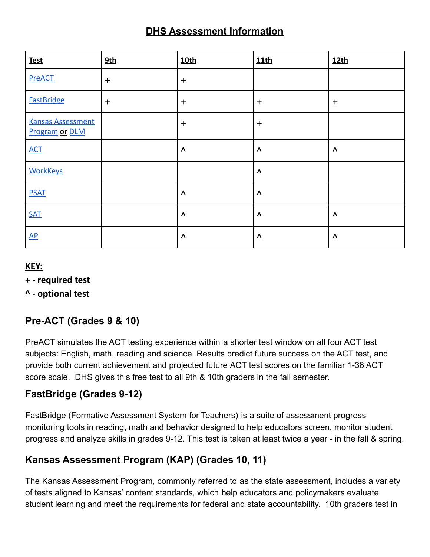## **DHS Assessment Information**

| <b>Test</b>                                       | 9th       | <b>10th</b>            | 11th      | 12th      |
|---------------------------------------------------|-----------|------------------------|-----------|-----------|
| <b>PreACT</b>                                     | $\ddot{}$ | $+$                    |           |           |
| <b>FastBridge</b>                                 | $\ddot{}$ | $+$                    | $\ddot{}$ | $\ddot{}$ |
| <b>Kansas Assessment</b><br><b>Program or DLM</b> |           | $+$                    | $+$       |           |
| <b>ACT</b>                                        |           | $\boldsymbol{\Lambda}$ | $\Lambda$ | Λ         |
| <b>WorkKeys</b>                                   |           |                        | $\Lambda$ |           |
| <b>PSAT</b>                                       |           | $\boldsymbol{\Lambda}$ | $\Lambda$ |           |
| <b>SAT</b>                                        |           | $\Lambda$              | $\Lambda$ | $\Lambda$ |
| $\mathbf{AP}$                                     |           | $\boldsymbol{\Lambda}$ | Λ         | Λ         |

### **KEY:**

#### **+ - required test**

### **^ - optional test**

## **Pre-ACT (Grades 9 & 10)**

PreACT simulates the ACT testing experience within a shorter test window on all four ACT test subjects: English, math, reading and science. Results predict future success on the ACT test, and provide both current achievement and projected future ACT test scores on the familiar 1-36 ACT score scale. DHS gives this free test to all 9th & 10th graders in the fall semester.

### **FastBridge (Grades 9-12)**

FastBridge (Formative Assessment System for Teachers) is a suite of assessment progress monitoring tools in reading, math and behavior designed to help educators screen, monitor student progress and analyze skills in grades 9-12. This test is taken at least twice a year - in the fall & spring.

## **Kansas Assessment Program (KAP) (Grades 10, 11)**

The Kansas Assessment Program, commonly referred to as the state assessment, includes a variety of tests aligned to Kansas' content standards, which help educators and policymakers evaluate student learning and meet the requirements for federal and state accountability. 10th graders test in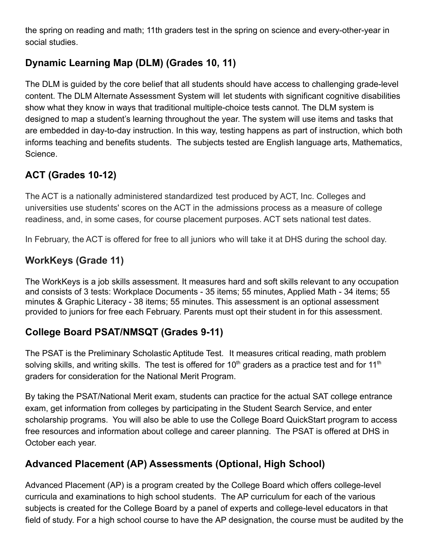the spring on reading and math; 11th graders test in the spring on science and every-other-year in social studies.

## **Dynamic Learning Map (DLM) (Grades 10, 11)**

The DLM is guided by the core belief that all students should have access to challenging grade-level content. The DLM Alternate Assessment System will let students with significant cognitive disabilities show what they know in ways that traditional multiple-choice tests cannot. The DLM system is designed to map a student's learning throughout the year. The system will use items and tasks that are embedded in day-to-day instruction. In this way, testing happens as part of instruction, which both informs teaching and benefits students. The subjects tested are English language arts, Mathematics, Science.

# **ACT (Grades 10-12)**

The ACT is a nationally administered standardized test produced by ACT, Inc. Colleges and universities use students' scores on the ACT in the admissions process as a measure of college readiness, and, in some cases, for course placement purposes. ACT sets national test dates.

In February, the ACT is offered for free to all juniors who will take it at DHS during the school day.

# **WorkKeys (Grade 11)**

The WorkKeys is a job skills assessment. It measures hard and soft skills relevant to any occupation and consists of 3 tests: Workplace Documents - 35 items; 55 minutes, Applied Math - 34 items; 55 minutes & Graphic Literacy - 38 items; 55 minutes. This assessment is an optional assessment provided to juniors for free each February. Parents must opt their student in for this assessment.

## **College Board PSAT/NMSQT (Grades 9-11)**

The PSAT is the Preliminary Scholastic Aptitude Test. It measures critical reading, math problem solving skills, and writing skills. The test is offered for 10<sup>th</sup> graders as a practice test and for 11<sup>th</sup> graders for consideration for the National Merit Program.

By taking the PSAT/National Merit exam, students can practice for the actual SAT college entrance exam, get information from colleges by participating in the Student Search Service, and enter scholarship programs. You will also be able to use the College Board QuickStart program to access free resources and information about college and career planning. The PSAT is offered at DHS in October each year.

# **Advanced Placement (AP) Assessments (Optional, High School)**

Advanced Placement (AP) is a program created by the College Board which offers college-level curricula and examinations to high school students. The AP curriculum for each of the various subjects is created for the College Board by a panel of experts and college-level educators in that field of study. For a high school course to have the AP designation, the course must be audited by the